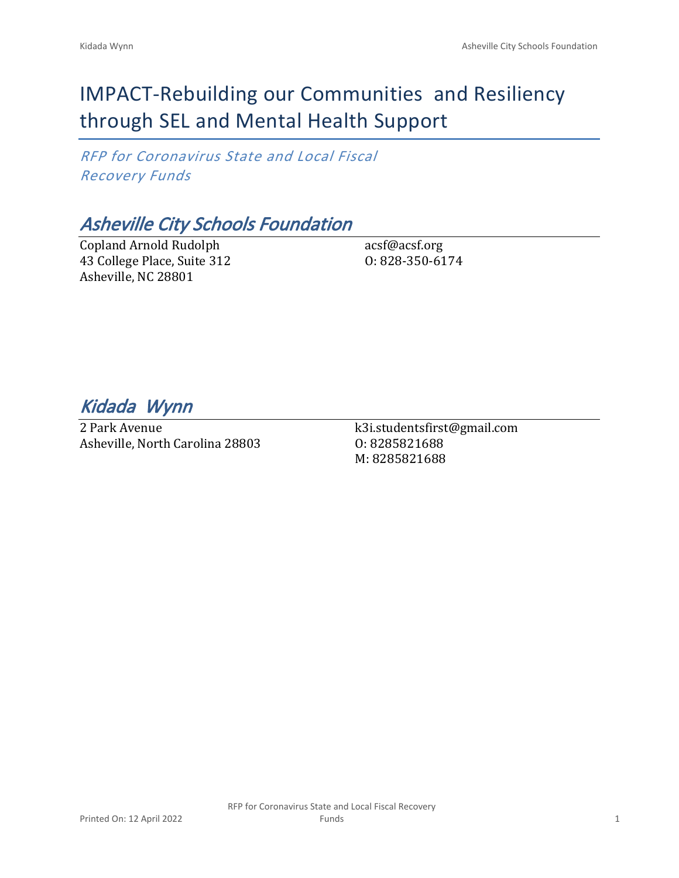# IMPACT-Rebuilding our Communities and Resiliency through SEL and Mental Health Support

*RFP for Coronavirus State and Local Fiscal Recovery Funds*

### *Asheville City Schools Foundation*

Copland Arnold Rudolph 43 College Place, Suite 312 Asheville, NC 28801

acsf@acsf.org O: 828-350-6174

*Kidada Wynn* 

2 Park Avenue Asheville, North Carolina 28803 k3i.studentsfirst@gmail.com O: 8285821688 M: 8285821688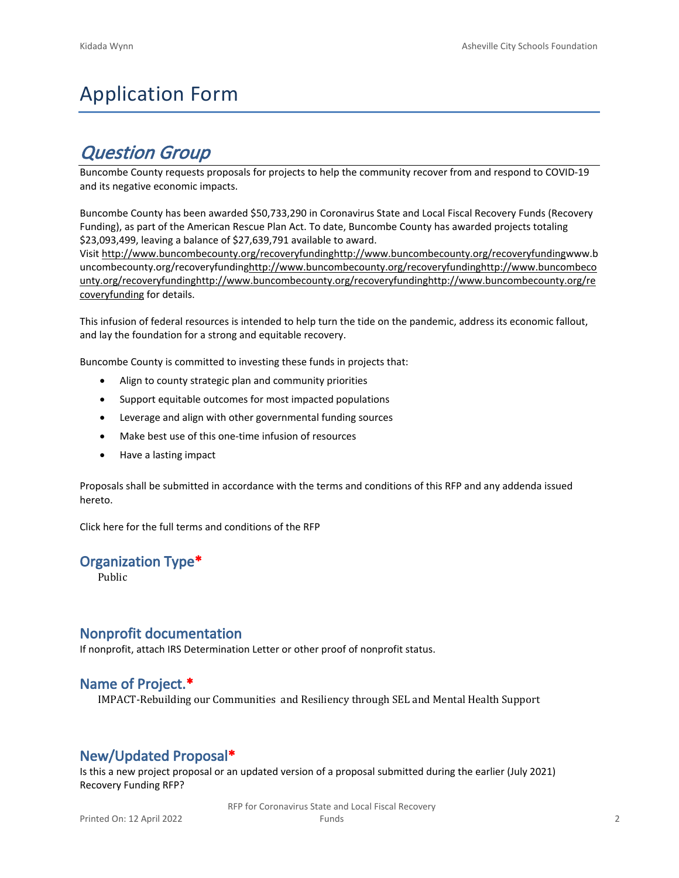# Application Form

## *Question Group*

Buncombe County requests proposals for projects to help the community recover from and respond to COVID-19 and its negative economic impacts.

Buncombe County has been awarded \$50,733,290 in Coronavirus State and Local Fiscal Recovery Funds (Recovery Funding), as part of the American Rescue Plan Act. To date, Buncombe County has awarded projects totaling \$23,093,499, leaving a balance of \$27,639,791 available to award.

Visit [http://www.buncombecounty.org/recoveryfundinghttp://www.buncombecounty.org/recoveryfundingwww.b](http://www.buncombecounty.org/recoveryfunding) [uncombecounty.org/recoveryfundinghttp://www.buncombecounty.org/recoveryfundinghttp://www.buncombeco](http://www.buncombecounty.org/recoveryfunding) [unty.org/recoveryfundinghttp://www.buncombecounty.org/recoveryfundinghttp://www.buncombecounty.org/re](http://www.buncombecounty.org/recoveryfunding) [coveryfunding](http://www.buncombecounty.org/recoveryfunding) for details.

This infusion of federal resources is intended to help turn the tide on the pandemic, address its economic fallout, and lay the foundation for a strong and equitable recovery.

Buncombe County is committed to investing these funds in projects that:

- Align to county strategic plan and community priorities
- Support equitable outcomes for most impacted populations
- Leverage and align with other governmental funding sources
- Make best use of this one-time infusion of resources
- Have a lasting impact

Proposals shall be submitted in accordance with the terms and conditions of this RFP and any addenda issued hereto.

Click [here](https://www.buncombecounty.org/common/purchasing/Buncombe%20Recovery%20Funding%20RFP%202022.pdf) for the full terms and conditions of the RFP

#### **Organization Type\***

Public

#### **Nonprofit documentation**

If nonprofit, attach IRS Determination Letter or other proof of nonprofit status.

#### **Name of Project.\***

IMPACT-Rebuilding our Communities and Resiliency through SEL and Mental Health Support

#### **New/Updated Proposal\***

Is this a new project proposal or an updated version of a proposal submitted during the earlier (July 2021) Recovery Funding RFP?

> RFP for Coronavirus State and Local Fiscal Recovery Funds 2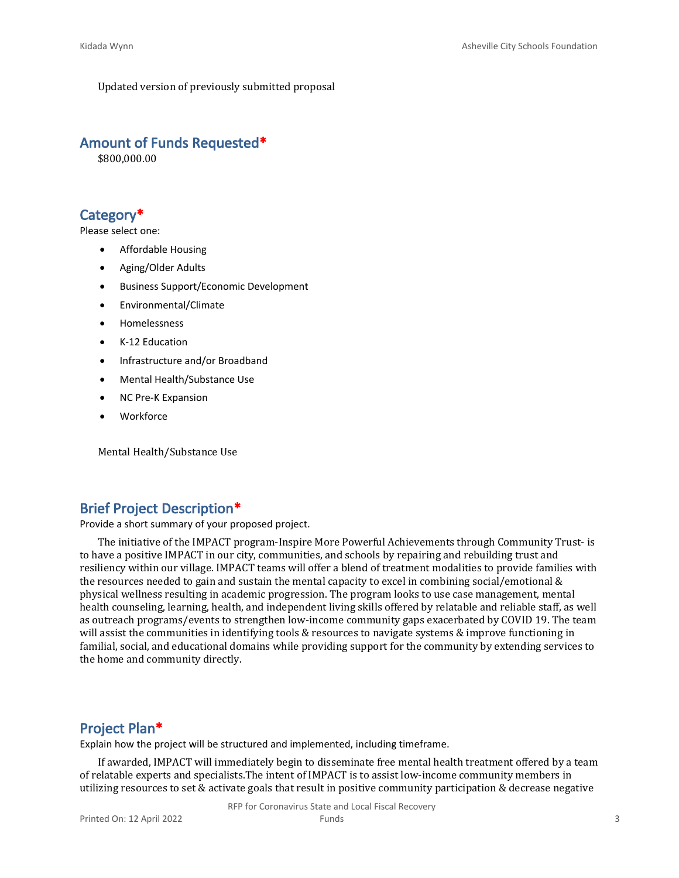Updated version of previously submitted proposal

#### **Amount of Funds Requested\***

\$800,000.00

#### **Category\***

Please select one:

- Affordable Housing
- Aging/Older Adults
- Business Support/Economic Development
- Environmental/Climate
- Homelessness
- K-12 Education
- Infrastructure and/or Broadband
- Mental Health/Substance Use
- NC Pre-K Expansion
- **Workforce**

Mental Health/Substance Use

#### **Brief Project Description\***

Provide a short summary of your proposed project.

The initiative of the IMPACT program-Inspire More Powerful Achievements through Community Trust- is to have a positive IMPACT in our city, communities, and schools by repairing and rebuilding trust and resiliency within our village. IMPACT teams will offer a blend of treatment modalities to provide families with the resources needed to gain and sustain the mental capacity to excel in combining social/emotional & physical wellness resulting in academic progression. The program looks to use case management, mental health counseling, learning, health, and independent living skills offered by relatable and reliable staff, as well as outreach programs/events to strengthen low-income community gaps exacerbated by COVID 19. The team will assist the communities in identifying tools & resources to navigate systems & improve functioning in familial, social, and educational domains while providing support for the community by extending services to the home and community directly.

#### **Project Plan\***

Explain how the project will be structured and implemented, including timeframe.

If awarded, IMPACT will immediately begin to disseminate free mental health treatment offered by a team of relatable experts and specialists.The intent of IMPACT is to assist low-income community members in utilizing resources to set & activate goals that result in positive community participation & decrease negative

RFP for Coronavirus State and Local Fiscal Recovery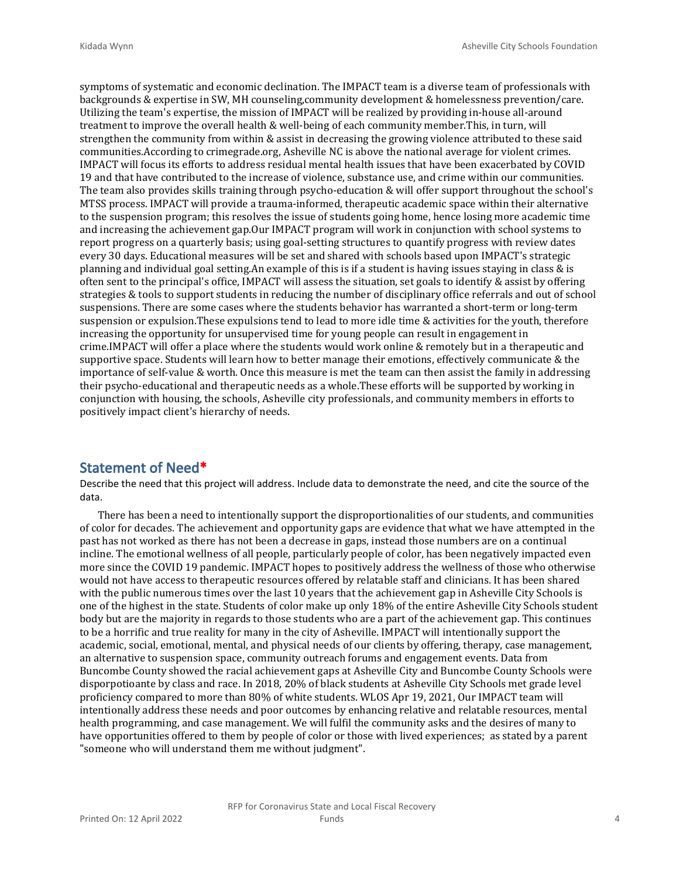symptoms of systematic and economic declination. The IMPACT team is a diverse team of professionals with backgrounds & expertise in SW, MH counseling,community development & homelessness prevention/care. Utilizing the team's expertise, the mission of IMPACT will be realized by providing in-house all-around treatment to improve the overall health & well-being of each community member.This, in turn, will strengthen the community from within & assist in decreasing the growing violence attributed to these said communities.According to crimegrade.org, Asheville NC is above the national average for violent crimes. IMPACT will focus its efforts to address residual mental health issues that have been exacerbated by COVID 19 and that have contributed to the increase of violence, substance use, and crime within our communities. The team also provides skills training through psycho-education & will offer support throughout the school's MTSS process. IMPACT will provide a trauma-informed, therapeutic academic space within their alternative to the suspension program; this resolves the issue of students going home, hence losing more academic time and increasing the achievement gap.Our IMPACT program will work in conjunction with school systems to report progress on a quarterly basis; using goal-setting structures to quantify progress with review dates every 30 days. Educational measures will be set and shared with schools based upon IMPACT's strategic planning and individual goal setting.An example of this is if a student is having issues staying in class & is often sent to the principal's office, IMPACT will assess the situation, set goals to identify & assist by offering strategies & tools to support students in reducing the number of disciplinary office referrals and out of school suspensions. There are some cases where the students behavior has warranted a short-term or long-term suspension or expulsion.These expulsions tend to lead to more idle time & activities for the youth, therefore increasing the opportunity for unsupervised time for young people can result in engagement in crime.IMPACT will offer a place where the students would work online & remotely but in a therapeutic and supportive space. Students will learn how to better manage their emotions, effectively communicate & the importance of self-value & worth. Once this measure is met the team can then assist the family in addressing their psycho-educational and therapeutic needs as a whole.These efforts will be supported by working in conjunction with housing, the schools, Asheville city professionals, and community members in efforts to positively impact client's hierarchy of needs.

#### **Statement of Need\***

Describe the need that this project will address. Include data to demonstrate the need, and cite the source of the data.

There has been a need to intentionally support the disproportionalities of our students, and communities of color for decades. The achievement and opportunity gaps are evidence that what we have attempted in the past has not worked as there has not been a decrease in gaps, instead those numbers are on a continual incline. The emotional wellness of all people, particularly people of color, has been negatively impacted even more since the COVID 19 pandemic. IMPACT hopes to positively address the wellness of those who otherwise would not have access to therapeutic resources offered by relatable staff and clinicians. It has been shared with the public numerous times over the last 10 years that the achievement gap in Asheville City Schools is one of the highest in the state. Students of color make up only 18% of the entire Asheville City Schools student body but are the majority in regards to those students who are a part of the achievement gap. This continues to be a horrific and true reality for many in the city of Asheville. IMPACT will intentionally support the academic, social, emotional, mental, and physical needs of our clients by offering, therapy, case management, an alternative to suspension space, community outreach forums and engagement events. Data from Buncombe County showed the racial achievement gaps at Asheville City and Buncombe County Schools were disporpotioante by class and race. In 2018, 20% of black students at Asheville City Schools met grade level proficiency compared to more than 80% of white students. WLOS Apr 19, 2021, Our IMPACT team will intentionally address these needs and poor outcomes by enhancing relative and relatable resources, mental health programming, and case management. We will fulfil the community asks and the desires of many to have opportunities offered to them by people of color or those with lived experiences; as stated by a parent "someone who will understand them me without judgment".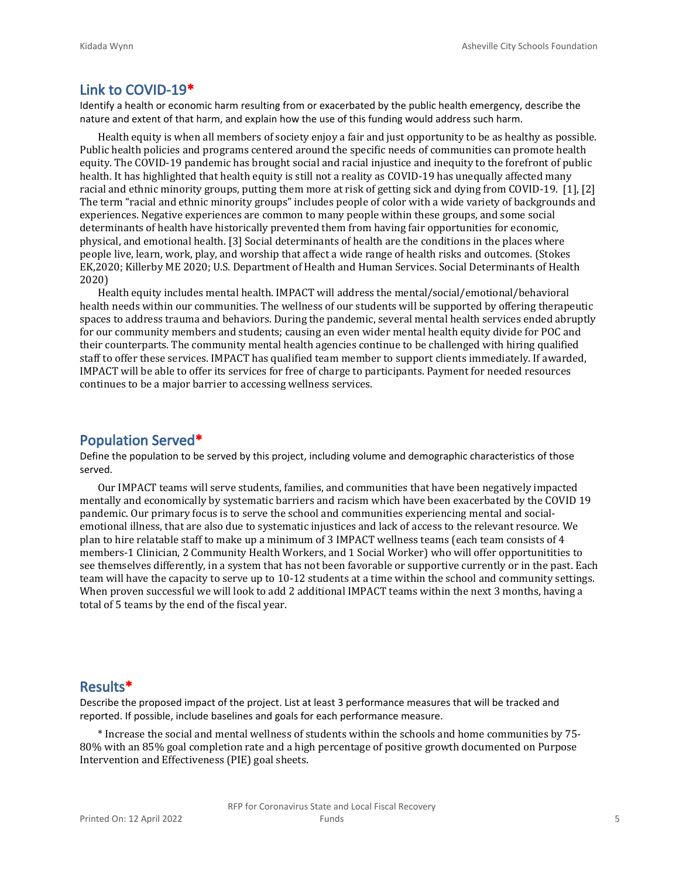#### **Link to COVID-19\***

Identify a health or economic harm resulting from or exacerbated by the public health emergency, describe the nature and extent of that harm, and explain how the use of this funding would address such harm.

Health equity is when all members of society enjoy a fair and just opportunity to be as healthy as possible. Public health policies and programs centered around the specific needs of communities can promote health equity. The COVID-19 pandemic has brought social and racial injustice and inequity to the forefront of public health. It has highlighted that health equity is still not a reality as COVID-19 has unequally affected many racial and ethnic minority groups, putting them more at risk of getting sick and dying from COVID-19. [1], [2] The term "racial and ethnic minority groups" includes people of color with a wide variety of backgrounds and experiences. Negative experiences are common to many people within these groups, and some social determinants of health have historically prevented them from having fair opportunities for economic, physical, and emotional health. [3] Social determinants of health are the conditions in the places where people live, learn, work, play, and worship that affect a wide range of health risks and outcomes. (Stokes EK,2020; Killerby ME 2020; U.S. Department of Health and Human Services. Social Determinants of Health 2020)

Health equity includes mental health. IMPACT will address the mental/social/emotional/behavioral health needs within our communities. The wellness of our students will be supported by offering therapeutic spaces to address trauma and behaviors. During the pandemic, several mental health services ended abruptly for our community members and students; causing an even wider mental health equity divide for POC and their counterparts. The community mental health agencies continue to be challenged with hiring qualified staff to offer these services. IMPACT has qualified team member to support clients immediately. If awarded, IMPACT will be able to offer its services for free of charge to participants. Payment for needed resources continues to be a major barrier to accessing wellness services.

#### **Population Served\***

Define the population to be served by this project, including volume and demographic characteristics of those served.

Our IMPACT teams will serve students, families, and communities that have been negatively impacted mentally and economically by systematic barriers and racism which have been exacerbated by the COVID 19 pandemic. Our primary focus is to serve the school and communities experiencing mental and socialemotional illness, that are also due to systematic injustices and lack of access to the relevant resource. We plan to hire relatable staff to make up a minimum of 3 IMPACT wellness teams (each team consists of 4 members-1 Clinician, 2 Community Health Workers, and 1 Social Worker) who will offer opportunitities to see themselves differently, in a system that has not been favorable or supportive currently or in the past. Each team will have the capacity to serve up to 10-12 students at a time within the school and community settings. When proven successful we will look to add 2 additional IMPACT teams within the next 3 months, having a total of 5 teams by the end of the fiscal year.

#### **Results\***

Describe the proposed impact of the project. List at least 3 performance measures that will be tracked and reported. If possible, include baselines and goals for each performance measure.

\* Increase the social and mental wellness of students within the schools and home communities by 75- 80% with an 85% goal completion rate and a high percentage of positive growth documented on Purpose Intervention and Effectiveness (PIE) goal sheets.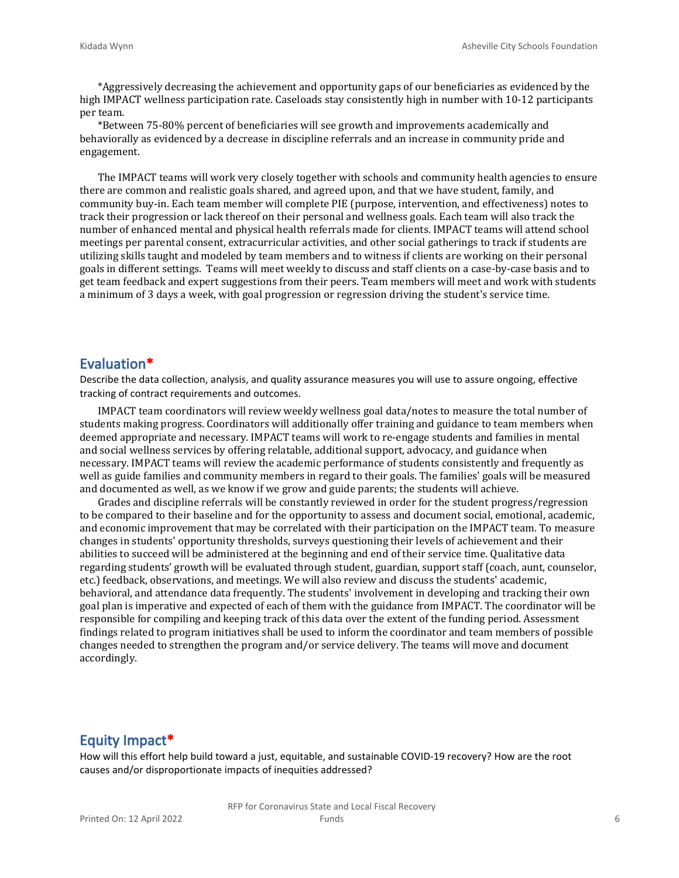\*Aggressively decreasing the achievement and opportunity gaps of our beneficiaries as evidenced by the high IMPACT wellness participation rate. Caseloads stay consistently high in number with 10-12 participants per team.

\*Between 75-80% percent of beneficiaries will see growth and improvements academically and behaviorally as evidenced by a decrease in discipline referrals and an increase in community pride and engagement.

The IMPACT teams will work very closely together with schools and community health agencies to ensure there are common and realistic goals shared, and agreed upon, and that we have student, family, and community buy-in. Each team member will complete PIE (purpose, intervention, and effectiveness) notes to track their progression or lack thereof on their personal and wellness goals. Each team will also track the number of enhanced mental and physical health referrals made for clients. IMPACT teams will attend school meetings per parental consent, extracurricular activities, and other social gatherings to track if students are utilizing skills taught and modeled by team members and to witness if clients are working on their personal goals in different settings. Teams will meet weekly to discuss and staff clients on a case-by-case basis and to get team feedback and expert suggestions from their peers. Team members will meet and work with students a minimum of 3 days a week, with goal progression or regression driving the student's service time.

#### **Evaluation\***

Describe the data collection, analysis, and quality assurance measures you will use to assure ongoing, effective tracking of contract requirements and outcomes.

IMPACT team coordinators will review weekly wellness goal data/notes to measure the total number of students making progress. Coordinators will additionally offer training and guidance to team members when deemed appropriate and necessary. IMPACT teams will work to re-engage students and families in mental and social wellness services by offering relatable, additional support, advocacy, and guidance when necessary. IMPACT teams will review the academic performance of students consistently and frequently as well as guide families and community members in regard to their goals. The families' goals will be measured and documented as well, as we know if we grow and guide parents; the students will achieve.

Grades and discipline referrals will be constantly reviewed in order for the student progress/regression to be compared to their baseline and for the opportunity to assess and document social, emotional, academic, and economic improvement that may be correlated with their participation on the IMPACT team. To measure changes in students' opportunity thresholds, surveys questioning their levels of achievement and their abilities to succeed will be administered at the beginning and end of their service time. Qualitative data regarding students' growth will be evaluated through student, guardian, support staff (coach, aunt, counselor, etc.) feedback, observations, and meetings. We will also review and discuss the students' academic, behavioral, and attendance data frequently. The students' involvement in developing and tracking their own goal plan is imperative and expected of each of them with the guidance from IMPACT. The coordinator will be responsible for compiling and keeping track of this data over the extent of the funding period. Assessment findings related to program initiatives shall be used to inform the coordinator and team members of possible changes needed to strengthen the program and/or service delivery. The teams will move and document accordingly.

#### **Equity Impact\***

How will this effort help build toward a just, equitable, and sustainable COVID-19 recovery? How are the root causes and/or disproportionate impacts of inequities addressed?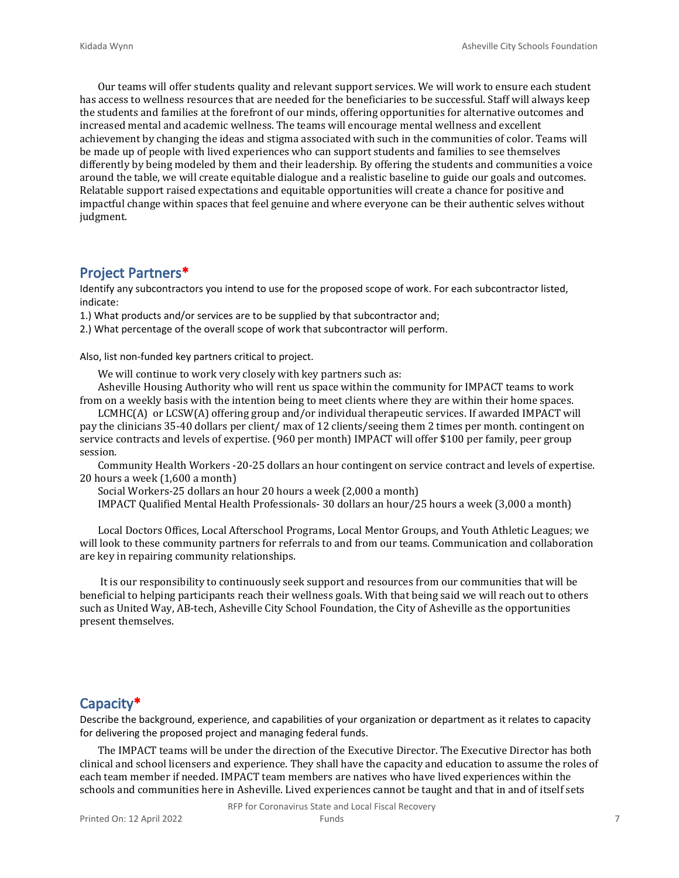Our teams will offer students quality and relevant support services. We will work to ensure each student has access to wellness resources that are needed for the beneficiaries to be successful. Staff will always keep the students and families at the forefront of our minds, offering opportunities for alternative outcomes and increased mental and academic wellness. The teams will encourage mental wellness and excellent achievement by changing the ideas and stigma associated with such in the communities of color. Teams will be made up of people with lived experiences who can support students and families to see themselves differently by being modeled by them and their leadership. By offering the students and communities a voice around the table, we will create equitable dialogue and a realistic baseline to guide our goals and outcomes. Relatable support raised expectations and equitable opportunities will create a chance for positive and impactful change within spaces that feel genuine and where everyone can be their authentic selves without judgment.

#### **Project Partners\***

Identify any subcontractors you intend to use for the proposed scope of work. For each subcontractor listed, indicate:

1.) What products and/or services are to be supplied by that subcontractor and;

2.) What percentage of the overall scope of work that subcontractor will perform.

Also, list non-funded key partners critical to project.

We will continue to work very closely with key partners such as:

Asheville Housing Authority who will rent us space within the community for IMPACT teams to work from on a weekly basis with the intention being to meet clients where they are within their home spaces.

LCMHC(A) or LCSW(A) offering group and/or individual therapeutic services. If awarded IMPACT will pay the clinicians 35-40 dollars per client/ max of 12 clients/seeing them 2 times per month. contingent on service contracts and levels of expertise. (960 per month) IMPACT will offer \$100 per family, peer group session.

Community Health Workers -20-25 dollars an hour contingent on service contract and levels of expertise. 20 hours a week (1,600 a month)

Social Workers-25 dollars an hour 20 hours a week (2,000 a month)

IMPACT Qualified Mental Health Professionals- 30 dollars an hour/25 hours a week (3,000 a month)

Local Doctors Offices, Local Afterschool Programs, Local Mentor Groups, and Youth Athletic Leagues; we will look to these community partners for referrals to and from our teams. Communication and collaboration are key in repairing community relationships.

 It is our responsibility to continuously seek support and resources from our communities that will be beneficial to helping participants reach their wellness goals. With that being said we will reach out to others such as United Way, AB-tech, Asheville City School Foundation, the City of Asheville as the opportunities present themselves.

#### **Capacity\***

Describe the background, experience, and capabilities of your organization or department as it relates to capacity for delivering the proposed project and managing federal funds.

The IMPACT teams will be under the direction of the Executive Director. The Executive Director has both clinical and school licensers and experience. They shall have the capacity and education to assume the roles of each team member if needed. IMPACT team members are natives who have lived experiences within the schools and communities here in Asheville. Lived experiences cannot be taught and that in and of itself sets

RFP for Coronavirus State and Local Fiscal Recovery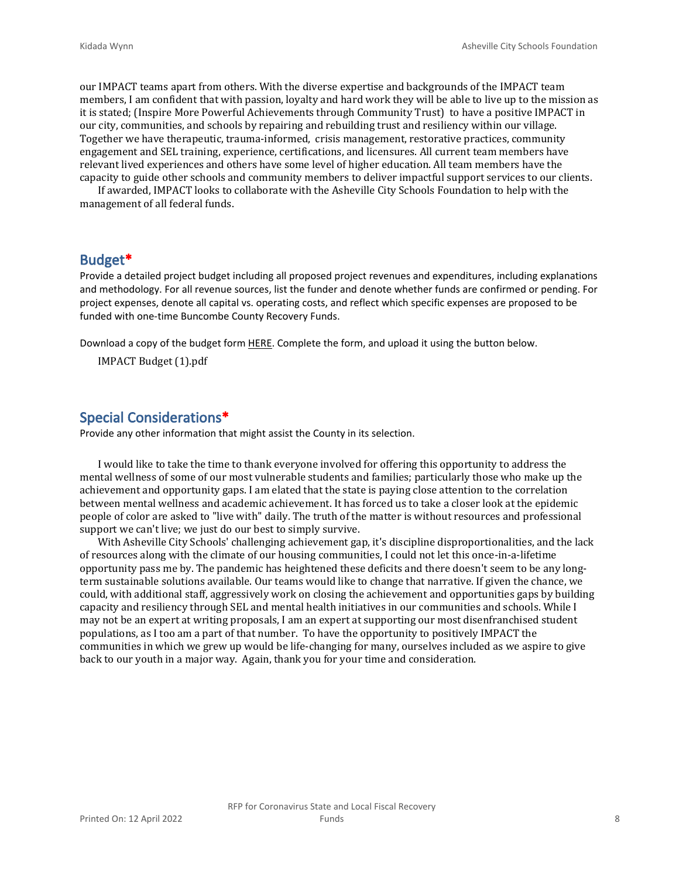our IMPACT teams apart from others. With the diverse expertise and backgrounds of the IMPACT team members, I am confident that with passion, loyalty and hard work they will be able to live up to the mission as it is stated; (Inspire More Powerful Achievements through Community Trust) to have a positive IMPACT in our city, communities, and schools by repairing and rebuilding trust and resiliency within our village. Together we have therapeutic, trauma-informed, crisis management, restorative practices, community engagement and SEL training, experience, certifications, and licensures. All current team members have relevant lived experiences and others have some level of higher education. All team members have the capacity to guide other schools and community members to deliver impactful support services to our clients.

If awarded, IMPACT looks to collaborate with the Asheville City Schools Foundation to help with the management of all federal funds.

#### **Budget\***

Provide a detailed project budget including all proposed project revenues and expenditures, including explanations and methodology. For all revenue sources, list the funder and denote whether funds are confirmed or pending. For project expenses, denote all capital vs. operating costs, and reflect which specific expenses are proposed to be funded with one-time Buncombe County Recovery Funds.

Download a copy of the budget form [HERE](https://buncombecounty.org/common/community-investment/grants/early-childhood-education/Recovery-Funds-budget-template.xlsx). Complete the form, and upload it using the button below.

IMPACT Budget (1).pdf

#### **Special Considerations\***

Provide any other information that might assist the County in its selection.

I would like to take the time to thank everyone involved for offering this opportunity to address the mental wellness of some of our most vulnerable students and families; particularly those who make up the achievement and opportunity gaps. I am elated that the state is paying close attention to the correlation between mental wellness and academic achievement. It has forced us to take a closer look at the epidemic people of color are asked to "live with" daily. The truth of the matter is without resources and professional support we can't live; we just do our best to simply survive.

With Asheville City Schools' challenging achievement gap, it's discipline disproportionalities, and the lack of resources along with the climate of our housing communities, I could not let this once-in-a-lifetime opportunity pass me by. The pandemic has heightened these deficits and there doesn't seem to be any longterm sustainable solutions available. Our teams would like to change that narrative. If given the chance, we could, with additional staff, aggressively work on closing the achievement and opportunities gaps by building capacity and resiliency through SEL and mental health initiatives in our communities and schools. While I may not be an expert at writing proposals, I am an expert at supporting our most disenfranchised student populations, as I too am a part of that number. To have the opportunity to positively IMPACT the communities in which we grew up would be life-changing for many, ourselves included as we aspire to give back to our youth in a major way. Again, thank you for your time and consideration.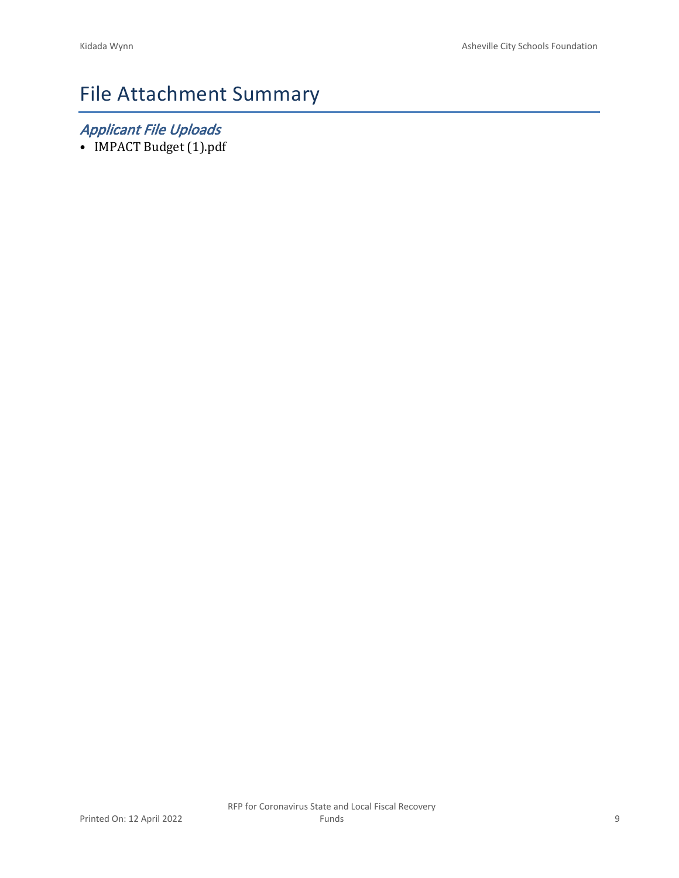# File Attachment Summary

## *Applicant File Uploads*

• IMPACT Budget (1).pdf